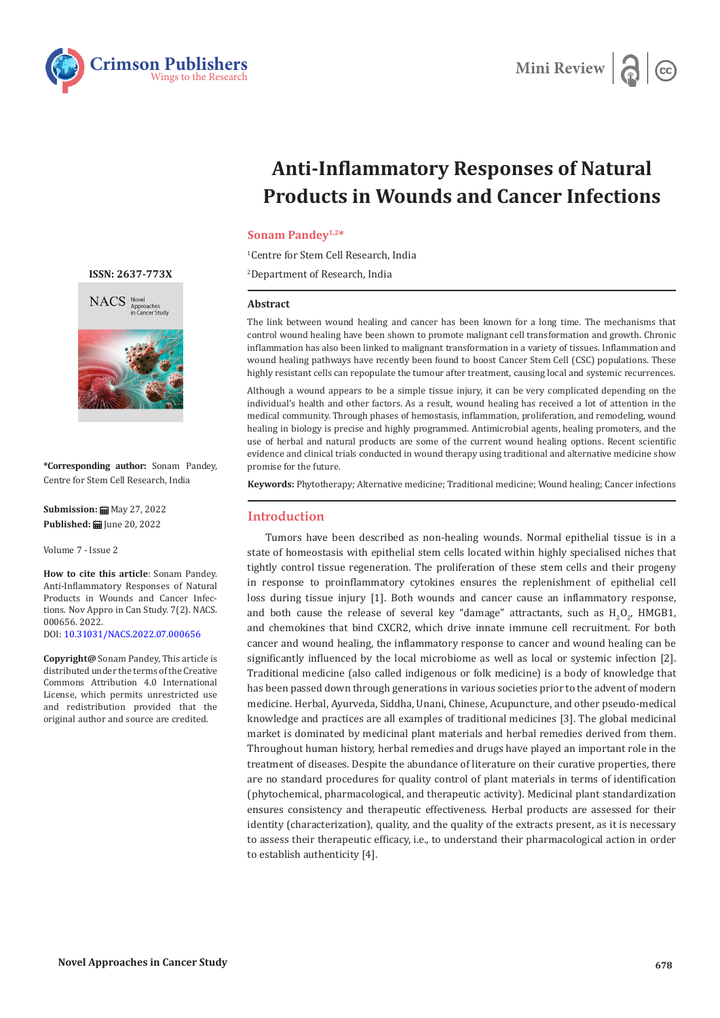



# **Anti-Inflammatory Responses of Natural Products in Wounds and Cancer Infections**

# **Sonam Pandey1,2\***

1 Centre for Stem Cell Research, India

2 Department of Research, India

#### **Abstract**

The link between wound healing and cancer has been known for a long time. The mechanisms that control wound healing have been shown to promote malignant cell transformation and growth. Chronic inflammation has also been linked to malignant transformation in a variety of tissues. Inflammation and wound healing pathways have recently been found to boost Cancer Stem Cell (CSC) populations. These highly resistant cells can repopulate the tumour after treatment, causing local and systemic recurrences.

Although a wound appears to be a simple tissue injury, it can be very complicated depending on the individual's health and other factors. As a result, wound healing has received a lot of attention in the medical community. Through phases of hemostasis, inflammation, proliferation, and remodeling, wound healing in biology is precise and highly programmed. Antimicrobial agents, healing promoters, and the use of herbal and natural products are some of the current wound healing options. Recent scientific evidence and clinical trials conducted in wound therapy using traditional and alternative medicine show promise for the future.

**Keywords:** Phytotherapy; Alternative medicine; Traditional medicine; Wound healing; Cancer infections

#### **Introduction**

Tumors have been described as non-healing wounds. Normal epithelial tissue is in a state of homeostasis with epithelial stem cells located within highly specialised niches that tightly control tissue regeneration. The proliferation of these stem cells and their progeny in response to proinflammatory cytokines ensures the replenishment of epithelial cell loss during tissue injury [1]. Both wounds and cancer cause an inflammatory response, and both cause the release of several key "damage" attractants, such as  ${\tt H_2O_2}$ , HMGB1, and chemokines that bind CXCR2, which drive innate immune cell recruitment. For both cancer and wound healing, the inflammatory response to cancer and wound healing can be significantly influenced by the local microbiome as well as local or systemic infection [2]. Traditional medicine (also called indigenous or folk medicine) is a body of knowledge that has been passed down through generations in various societies prior to the advent of modern medicine. Herbal, Ayurveda, Siddha, Unani, Chinese, Acupuncture, and other pseudo-medical knowledge and practices are all examples of traditional medicines [3]. The global medicinal market is dominated by medicinal plant materials and herbal remedies derived from them. Throughout human history, herbal remedies and drugs have played an important role in the treatment of diseases. Despite the abundance of literature on their curative properties, there are no standard procedures for quality control of plant materials in terms of identification (phytochemical, pharmacological, and therapeutic activity). Medicinal plant standardization ensures consistency and therapeutic effectiveness. Herbal products are assessed for their identity (characterization), quality, and the quality of the extracts present, as it is necessary to assess their therapeutic efficacy, i.e., to understand their pharmacological action in order to establish authenticity [4].

#### **[ISSN: 2637-773X](https://crimsonpublishers.com/nacs/)**





**\*Corresponding author:** Sonam Pandey, Centre for Stem Cell Research, India

**Submission:** May 27, 2022 **Published: | June 20, 2022** 

Volume 7 - Issue 2

**How to cite this article**: Sonam Pandey. Anti-Inflammatory Responses of Natural Products in Wounds and Cancer Infections. Nov Appro in Can Study. 7(2). NACS. 000656. 2022. DOI: [10.31031/NACS.2022.07.000656](http://dx.doi.org/10.31031/NACS.2022.07.000656)

**Copyright@** Sonam Pandey, This article is distributed under the terms of the Creative Commons Attribution 4.0 International License, which permits unrestricted use and redistribution provided that the original author and source are credited.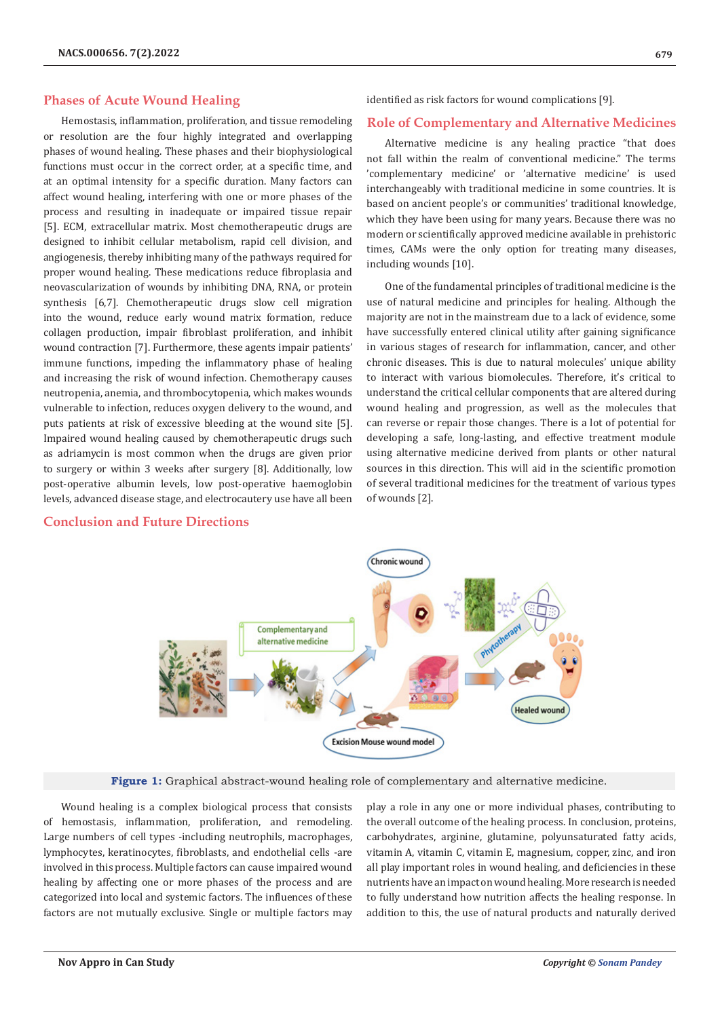### **Phases of Acute Wound Healing**

Hemostasis, inflammation, proliferation, and tissue remodeling or resolution are the four highly integrated and overlapping phases of wound healing. These phases and their biophysiological functions must occur in the correct order, at a specific time, and at an optimal intensity for a specific duration. Many factors can affect wound healing, interfering with one or more phases of the process and resulting in inadequate or impaired tissue repair [5]. ECM, extracellular matrix. Most chemotherapeutic drugs are designed to inhibit cellular metabolism, rapid cell division, and angiogenesis, thereby inhibiting many of the pathways required for proper wound healing. These medications reduce fibroplasia and neovascularization of wounds by inhibiting DNA, RNA, or protein synthesis [6,7]. Chemotherapeutic drugs slow cell migration into the wound, reduce early wound matrix formation, reduce collagen production, impair fibroblast proliferation, and inhibit wound contraction [7]. Furthermore, these agents impair patients' immune functions, impeding the inflammatory phase of healing and increasing the risk of wound infection. Chemotherapy causes neutropenia, anemia, and thrombocytopenia, which makes wounds vulnerable to infection, reduces oxygen delivery to the wound, and puts patients at risk of excessive bleeding at the wound site [5]. Impaired wound healing caused by chemotherapeutic drugs such as adriamycin is most common when the drugs are given prior to surgery or within 3 weeks after surgery [8]. Additionally, low post-operative albumin levels, low post-operative haemoglobin levels, advanced disease stage, and electrocautery use have all been

## **Conclusion and Future Directions**

identified as risk factors for wound complications [9].

#### **Role of Complementary and Alternative Medicines**

Alternative medicine is any healing practice "that does not fall within the realm of conventional medicine." The terms 'complementary medicine' or 'alternative medicine' is used interchangeably with traditional medicine in some countries. It is based on ancient people's or communities' traditional knowledge, which they have been using for many years. Because there was no modern or scientifically approved medicine available in prehistoric times, CAMs were the only option for treating many diseases, including wounds [10].

One of the fundamental principles of traditional medicine is the use of natural medicine and principles for healing. Although the majority are not in the mainstream due to a lack of evidence, some have successfully entered clinical utility after gaining significance in various stages of research for inflammation, cancer, and other chronic diseases. This is due to natural molecules' unique ability to interact with various biomolecules. Therefore, it's critical to understand the critical cellular components that are altered during wound healing and progression, as well as the molecules that can reverse or repair those changes. There is a lot of potential for developing a safe, long-lasting, and effective treatment module using alternative medicine derived from plants or other natural sources in this direction. This will aid in the scientific promotion of several traditional medicines for the treatment of various types of wounds [2].



**Figure 1:** Graphical abstract-wound healing role of complementary and alternative medicine.

Wound healing is a complex biological process that consists of hemostasis, inflammation, proliferation, and remodeling. Large numbers of cell types -including neutrophils, macrophages, lymphocytes, keratinocytes, fibroblasts, and endothelial cells -are involved in this process. Multiple factors can cause impaired wound healing by affecting one or more phases of the process and are categorized into local and systemic factors. The influences of these factors are not mutually exclusive. Single or multiple factors may

play a role in any one or more individual phases, contributing to the overall outcome of the healing process. In conclusion, proteins, carbohydrates, arginine, glutamine, polyunsaturated fatty acids, vitamin A, vitamin C, vitamin E, magnesium, copper, zinc, and iron all play important roles in wound healing, and deficiencies in these nutrients have an impact on wound healing. More research is needed to fully understand how nutrition affects the healing response. In addition to this, the use of natural products and naturally derived